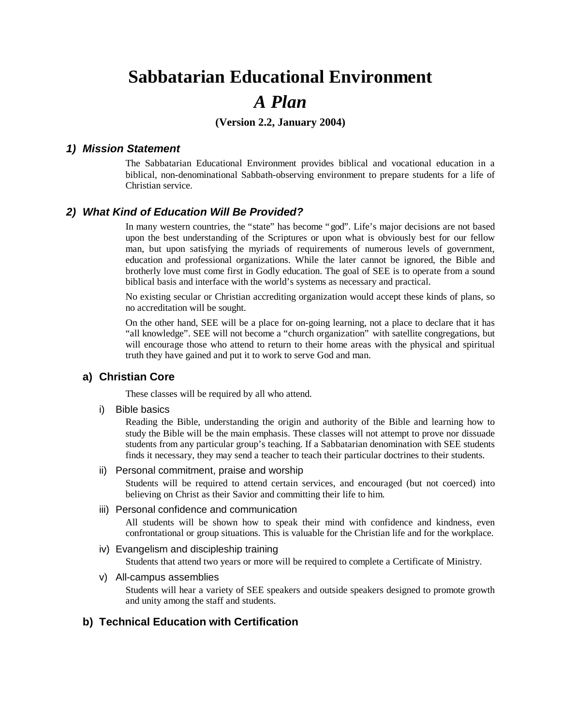# **Sabbatarian Educational Environment** *A Plan*

# **(Version 2.2, January 2004)**

#### *1) Mission Statement*

The Sabbatarian Educational Environment provides biblical and vocational education in a biblical, non-denominational Sabbath-observing environment to prepare students for a life of Christian service.

#### *2) What Kind of Education Will Be Provided?*

In many western countries, the "state" has become "god". Life's major decisions are not based upon the best understanding of the Scriptures or upon what is obviously best for our fellow man, but upon satisfying the myriads of requirements of numerous levels of government, education and professional organizations. While the later cannot be ignored, the Bible and brotherly love must come first in Godly education. The goal of SEE is to operate from a sound biblical basis and interface with the world's systems as necessary and practical.

No existing secular or Christian accrediting organization would accept these kinds of plans, so no accreditation will be sought.

On the other hand, SEE will be a place for on-going learning, not a place to declare that it has "all knowledge". SEE will not become a "church organization" with satellite congregations, but will encourage those who attend to return to their home areas with the physical and spiritual truth they have gained and put it to work to serve God and man.

#### **a) Christian Core**

These classes will be required by all who attend.

i) Bible basics

Reading the Bible, understanding the origin and authority of the Bible and learning how to study the Bible will be the main emphasis. These classes will not attempt to prove nor dissuade students from any particular group's teaching. If a Sabbatarian denomination with SEE students finds it necessary, they may send a teacher to teach their particular doctrines to their students.

ii) Personal commitment, praise and worship

Students will be required to attend certain services, and encouraged (but not coerced) into believing on Christ as their Savior and committing their life to him.

#### iii) Personal confidence and communication

All students will be shown how to speak their mind with confidence and kindness, even confrontational or group situations. This is valuable for the Christian life and for the workplace.

#### iv) Evangelism and discipleship training

Students that attend two years or more will be required to complete a Certificate of Ministry.

v) All-campus assemblies

Students will hear a variety of SEE speakers and outside speakers designed to promote growth and unity among the staff and students.

# **b) Technical Education with Certification**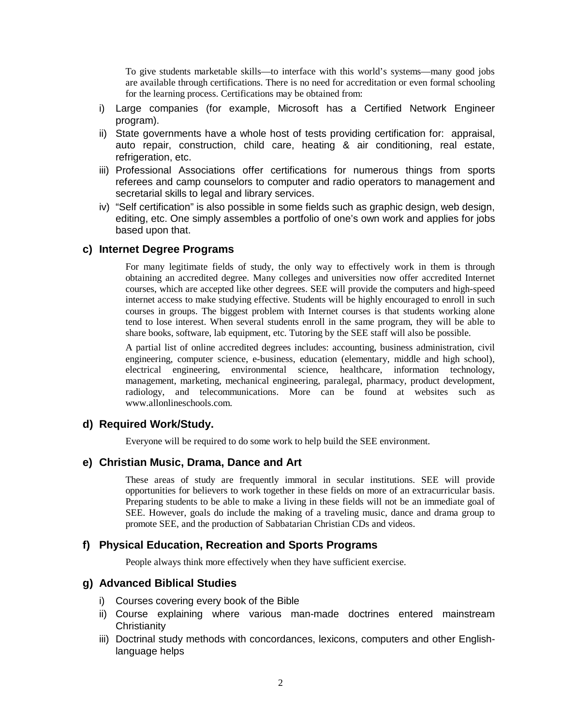To give students marketable skills— to interface with this world's systems— many good jobs are available through certifications. There is no need for accreditation or even formal schooling for the learning process. Certifications may be obtained from:

- i) Large companies (for example, Microsoft has a Certified Network Engineer program).
- ii) State governments have a whole host of tests providing certification for: appraisal, auto repair, construction, child care, heating & air conditioning, real estate, refrigeration, etc.
- iii) Professional Associations offer certifications for numerous things from sports referees and camp counselors to computer and radio operators to management and secretarial skills to legal and library services.
- iv) "Self certification" is also possible in some fields such as graphic design, web design, editing, etc. One simply assembles a portfolio of one's own work and applies for jobs based upon that.

# **c) Internet Degree Programs**

For many legitimate fields of study, the only way to effectively work in them is through obtaining an accredited degree. Many colleges and universities now offer accredited Internet courses, which are accepted like other degrees. SEE will provide the computers and high-speed internet access to make studying effective. Students will be highly encouraged to enroll in such courses in groups. The biggest problem with Internet courses is that students working alone tend to lose interest. When several students enroll in the same program, they will be able to share books, software, lab equipment, etc. Tutoring by the SEE staff will also be possible.

A partial list of online accredited degrees includes: accounting, business administration, civil engineering, computer science, e-business, education (elementary, middle and high school), electrical engineering, environmental science, healthcare, information technology, management, marketing, mechanical engineering, paralegal, pharmacy, product development, radiology, and telecommunications. More can be found at websites such as www.allonlineschools.com.

#### **d) Required Work/Study.**

Everyone will be required to do some work to help build the SEE environment.

# **e) Christian Music, Drama, Dance and Art**

These areas of study are frequently immoral in secular institutions. SEE will provide opportunities for believers to work together in these fields on more of an extracurricular basis. Preparing students to be able to make a living in these fields will not be an immediate goal of SEE. However, goals do include the making of a traveling music, dance and drama group to promote SEE, and the production of Sabbatarian Christian CDs and videos.

#### **f) Physical Education, Recreation and Sports Programs**

People always think more effectively when they have sufficient exercise.

# **g) Advanced Biblical Studies**

- i) Courses covering every book of the Bible
- ii) Course explaining where various man-made doctrines entered mainstream **Christianity**
- iii) Doctrinal study methods with concordances, lexicons, computers and other Englishlanguage helps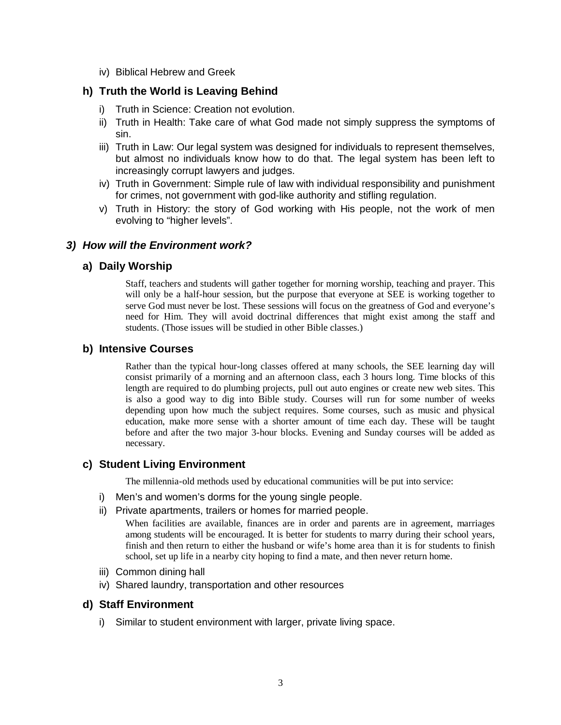iv) Biblical Hebrew and Greek

# **h) Truth the World is Leaving Behind**

- i) Truth in Science: Creation not evolution.
- ii) Truth in Health: Take care of what God made not simply suppress the symptoms of sin.
- iii) Truth in Law: Our legal system was designed for individuals to represent themselves, but almost no individuals know how to do that. The legal system has been left to increasingly corrupt lawyers and judges.
- iv) Truth in Government: Simple rule of law with individual responsibility and punishment for crimes, not government with god-like authority and stifling regulation.
- v) Truth in History: the story of God working with His people, not the work of men evolving to "higher levels".

# *3) How will the Environment work?*

# **a) Daily Worship**

Staff, teachers and students will gather together for morning worship, teaching and prayer. This will only be a half-hour session, but the purpose that everyone at SEE is working together to serve God must never be lost. These sessions will focus on the greatness of God and everyone's need for Him. They will avoid doctrinal differences that might exist among the staff and students. (Those issues will be studied in other Bible classes.)

# **b) Intensive Courses**

Rather than the typical hour-long classes offered at many schools, the SEE learning day will consist primarily of a morning and an afternoon class, each 3 hours long. Time blocks of this length are required to do plumbing projects, pull out auto engines or create new web sites. This is also a good way to dig into Bible study. Courses will run for some number of weeks depending upon how much the subject requires. Some courses, such as music and physical education, make more sense with a shorter amount of time each day. These will be taught before and after the two major 3-hour blocks. Evening and Sunday courses will be added as necessary.

# **c) Student Living Environment**

The millennia-old methods used by educational communities will be put into service:

- i) Men's and women's dorms for the young single people.
- ii) Private apartments, trailers or homes for married people.

When facilities are available, finances are in order and parents are in agreement, marriages among students will be encouraged. It is better for students to marry during their school years, finish and then return to either the husband or wife's home area than it is for students to finish school, set up life in a nearby city hoping to find a mate, and then never return home.

- iii) Common dining hall
- iv) Shared laundry, transportation and other resources

# **d) Staff Environment**

i) Similar to student environment with larger, private living space.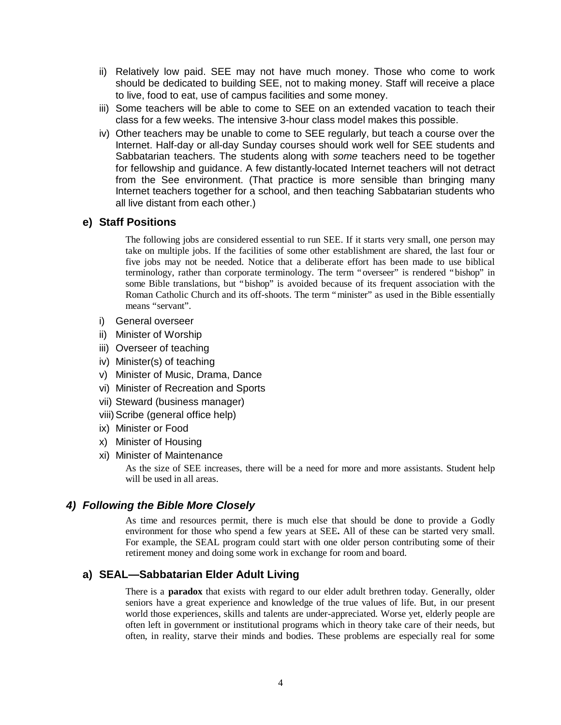- ii) Relatively low paid. SEE may not have much money. Those who come to work should be dedicated to building SEE, not to making money. Staff will receive a place to live, food to eat, use of campus facilities and some money.
- iii) Some teachers will be able to come to SEE on an extended vacation to teach their class for a few weeks. The intensive 3-hour class model makes this possible.
- iv) Other teachers may be unable to come to SEE regularly, but teach a course over the Internet. Half-day or all-day Sunday courses should work well for SEE students and Sabbatarian teachers. The students along with *some* teachers need to be together for fellowship and guidance. A few distantly-located Internet teachers will not detract from the See environment. (That practice is more sensible than bringing many Internet teachers together for a school, and then teaching Sabbatarian students who all live distant from each other.)

# **e) Staff Positions**

The following jobs are considered essential to run SEE. If it starts very small, one person may take on multiple jobs. If the facilities of some other establishment are shared, the last four or five jobs may not be needed. Notice that a deliberate effort has been made to use biblical terminology, rather than corporate terminology. The term "overseer" is rendered "bishop" in some Bible translations, but "bishop" is avoided because of its frequent association with the Roman Catholic Church and its off-shoots. The term "minister" as used in the Bible essentially means "servant".

- i) General overseer
- ii) Minister of Worship
- iii) Overseer of teaching
- iv) Minister(s) of teaching
- v) Minister of Music, Drama, Dance
- vi) Minister of Recreation and Sports
- vii) Steward (business manager)
- viii)Scribe (general office help)
- ix) Minister or Food
- x) Minister of Housing
- xi) Minister of Maintenance

As the size of SEE increases, there will be a need for more and more assistants. Student help will be used in all areas.

# *4) Following the Bible More Closely*

As time and resources permit, there is much else that should be done to provide a Godly environment for those who spend a few years at SEE**.** All of these can be started very small. For example, the SEAL program could start with one older person contributing some of their retirement money and doing some work in exchange for room and board.

# **a) SEAL— Sabbatarian Elder Adult Living**

There is a **paradox** that exists with regard to our elder adult brethren today. Generally, older seniors have a great experience and knowledge of the true values of life. But, in our present world those experiences, skills and talents are under-appreciated. Worse yet, elderly people are often left in government or institutional programs which in theory take care of their needs, but often, in reality, starve their minds and bodies. These problems are especially real for some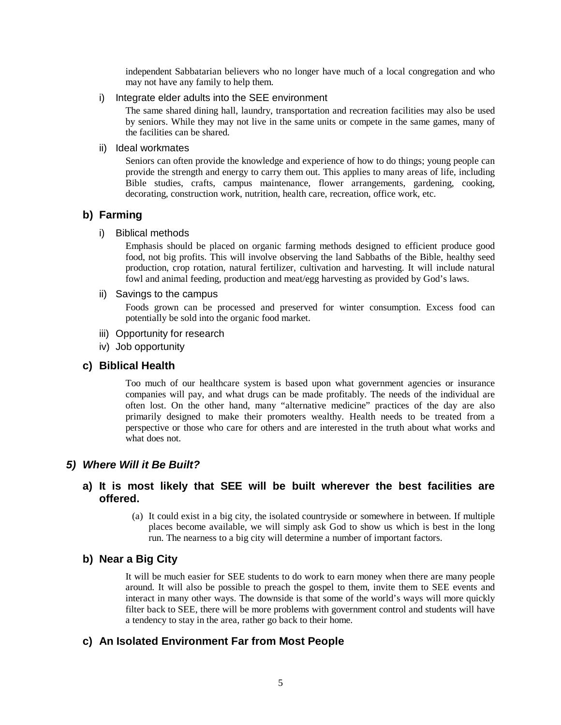independent Sabbatarian believers who no longer have much of a local congregation and who may not have any family to help them.

i) Integrate elder adults into the SEE environment

The same shared dining hall, laundry, transportation and recreation facilities may also be used by seniors. While they may not live in the same units or compete in the same games, many of the facilities can be shared.

ii) Ideal workmates

Seniors can often provide the knowledge and experience of how to do things; young people can provide the strength and energy to carry them out. This applies to many areas of life, including Bible studies, crafts, campus maintenance, flower arrangements, gardening, cooking, decorating, construction work, nutrition, health care, recreation, office work, etc.

# **b) Farming**

#### i) Biblical methods

Emphasis should be placed on organic farming methods designed to efficient produce good food, not big profits. This will involve observing the land Sabbaths of the Bible, healthy seed production, crop rotation, natural fertilizer, cultivation and harvesting. It will include natural fowl and animal feeding, production and meat/egg harvesting as provided by God's laws.

#### ii) Savings to the campus

Foods grown can be processed and preserved for winter consumption. Excess food can potentially be sold into the organic food market.

- iii) Opportunity for research
- iv) Job opportunity

#### **c) Biblical Health**

Too much of our healthcare system is based upon what government agencies or insurance companies will pay, and what drugs can be made profitably. The needs of the individual are often lost. On the other hand, many "alternative medicine" practices of the day are also primarily designed to make their promoters wealthy. Health needs to be treated from a perspective or those who care for others and are interested in the truth about what works and what does not.

# *5) Where Will it Be Built?*

# **a) It is most likely that SEE will be built wherever the best facilities are offered.**

(a) It could exist in a big city, the isolated countryside or somewhere in between. If multiple places become available, we will simply ask God to show us which is best in the long run. The nearness to a big city will determine a number of important factors.

# **b) Near a Big City**

It will be much easier for SEE students to do work to earn money when there are many people around. It will also be possible to preach the gospel to them, invite them to SEE events and interact in many other ways. The downside is that some of the world's ways will more quickly filter back to SEE, there will be more problems with government control and students will have a tendency to stay in the area, rather go back to their home.

# **c) An Isolated Environment Far from Most People**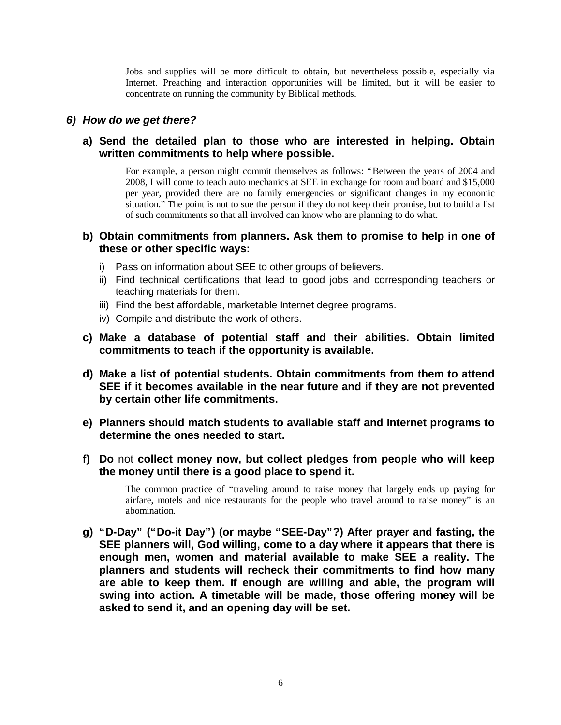Jobs and supplies will be more difficult to obtain, but nevertheless possible, especially via Internet. Preaching and interaction opportunities will be limited, but it will be easier to concentrate on running the community by Biblical methods.

# *6) How do we get there?*

# **a) Send the detailed plan to those who are interested in helping. Obtain written commitments to help where possible.**

For example, a person might commit themselves as follows: "Between the years of 2004 and 2008, I will come to teach auto mechanics at SEE in exchange for room and board and \$15,000 per year, provided there are no family emergencies or significant changes in my economic situation." The point is not to sue the person if they do not keep their promise, but to build a list of such commitments so that all involved can know who are planning to do what.

# **b) Obtain commitments from planners. Ask them to promise to help in one of these or other specific ways:**

- i) Pass on information about SEE to other groups of believers.
- ii) Find technical certifications that lead to good jobs and corresponding teachers or teaching materials for them.
- iii) Find the best affordable, marketable Internet degree programs.
- iv) Compile and distribute the work of others.
- **c) Make a database of potential staff and their abilities. Obtain limited commitments to teach if the opportunity is available.**
- **d) Make a list of potential students. Obtain commitments from them to attend SEE if it becomes available in the near future and if they are not prevented by certain other life commitments.**
- **e) Planners should match students to available staff and Internet programs to determine the ones needed to start.**
- **f) Do** not **collect money now, but collect pledges from people who will keep the money until there is a good place to spend it.**

The common practice of "traveling around to raise money that largely ends up paying for airfare, motels and nice restaurants for the people who travel around to raise money" is an abomination.

**g) "D-Day" ("Do-it Day") (or maybe "SEE-Day"?) After prayer and fasting, the SEE planners will, God willing, come to a day where it appears that there is enough men, women and material available to make SEE a reality. The planners and students will recheck their commitments to find how many are able to keep them. If enough are willing and able, the program will swing into action. A timetable will be made, those offering money will be asked to send it, and an opening day will be set.**